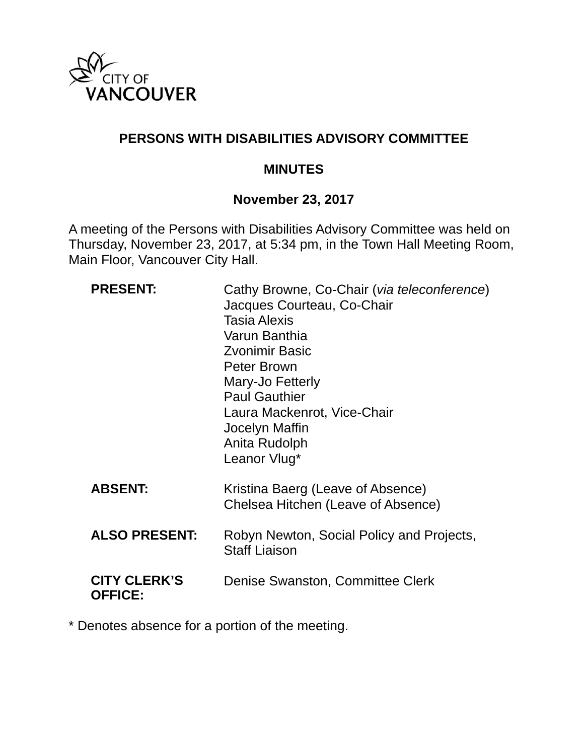

### **PERSONS WITH DISABILITIES ADVISORY COMMITTEE**

#### **MINUTES**

#### **November 23, 2017**

A meeting of the Persons with Disabilities Advisory Committee was held on Thursday, November 23, 2017, at 5:34 pm, in the Town Hall Meeting Room, Main Floor, Vancouver City Hall.

| <b>PRESENT:</b>                       | Cathy Browne, Co-Chair (via teleconference)<br>Jacques Courteau, Co-Chair<br>Tasia Alexis<br>Varun Banthia<br>Zvonimir Basic<br>Peter Brown<br>Mary-Jo Fetterly<br><b>Paul Gauthier</b><br>Laura Mackenrot, Vice-Chair<br>Jocelyn Maffin<br>Anita Rudolph<br>Leanor Vlug* |
|---------------------------------------|---------------------------------------------------------------------------------------------------------------------------------------------------------------------------------------------------------------------------------------------------------------------------|
| <b>ABSENT:</b>                        | Kristina Baerg (Leave of Absence)<br>Chelsea Hitchen (Leave of Absence)                                                                                                                                                                                                   |
| <b>ALSO PRESENT:</b>                  | Robyn Newton, Social Policy and Projects,<br><b>Staff Liaison</b>                                                                                                                                                                                                         |
| <b>CITY CLERK'S</b><br><b>OFFICE:</b> | Denise Swanston, Committee Clerk                                                                                                                                                                                                                                          |

\* Denotes absence for a portion of the meeting.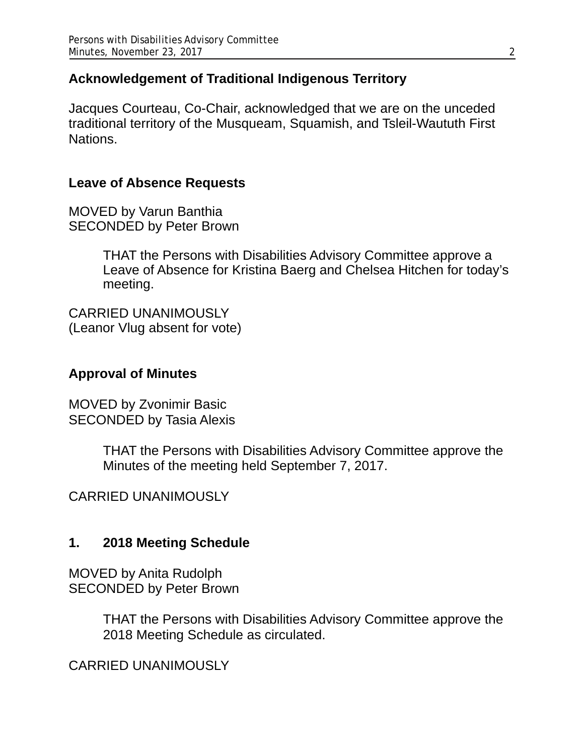### **Acknowledgement of Traditional Indigenous Territory**

Jacques Courteau, Co-Chair, acknowledged that we are on the unceded traditional territory of the Musqueam, Squamish, and Tsleil-Waututh First Nations.

#### **Leave of Absence Requests**

MOVED by Varun Banthia SECONDED by Peter Brown

> THAT the Persons with Disabilities Advisory Committee approve a Leave of Absence for Kristina Baerg and Chelsea Hitchen for today's meeting.

CARRIED UNANIMOUSLY (Leanor Vlug absent for vote)

### **Approval of Minutes**

MOVED by Zvonimir Basic SECONDED by Tasia Alexis

> THAT the Persons with Disabilities Advisory Committee approve the Minutes of the meeting held September 7, 2017.

CARRIED UNANIMOUSLY

#### **1. 2018 Meeting Schedule**

MOVED by Anita Rudolph SECONDED by Peter Brown

> THAT the Persons with Disabilities Advisory Committee approve the 2018 Meeting Schedule as circulated.

CARRIED UNANIMOUSLY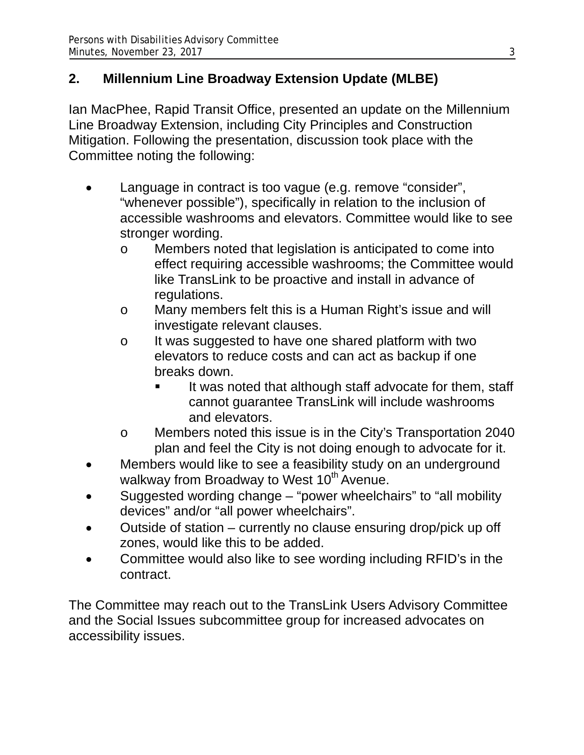# **2. Millennium Line Broadway Extension Update (MLBE)**

Ian MacPhee, Rapid Transit Office, presented an update on the Millennium Line Broadway Extension, including City Principles and Construction Mitigation. Following the presentation, discussion took place with the Committee noting the following:

- Language in contract is too vague (e.g. remove "consider", "whenever possible"), specifically in relation to the inclusion of accessible washrooms and elevators. Committee would like to see stronger wording.
	- o Members noted that legislation is anticipated to come into effect requiring accessible washrooms; the Committee would like TransLink to be proactive and install in advance of regulations.
	- o Many members felt this is a Human Right's issue and will investigate relevant clauses.
	- o It was suggested to have one shared platform with two elevators to reduce costs and can act as backup if one breaks down.
		- It was noted that although staff advocate for them, staff cannot guarantee TransLink will include washrooms and elevators.
	- o Members noted this issue is in the City's Transportation 2040 plan and feel the City is not doing enough to advocate for it.
- Members would like to see a feasibility study on an underground walkway from Broadway to West 10<sup>th</sup> Avenue.
- Suggested wording change "power wheelchairs" to "all mobility devices" and/or "all power wheelchairs".
- Outside of station currently no clause ensuring drop/pick up off zones, would like this to be added.
- Committee would also like to see wording including RFID's in the contract.

The Committee may reach out to the TransLink Users Advisory Committee and the Social Issues subcommittee group for increased advocates on accessibility issues.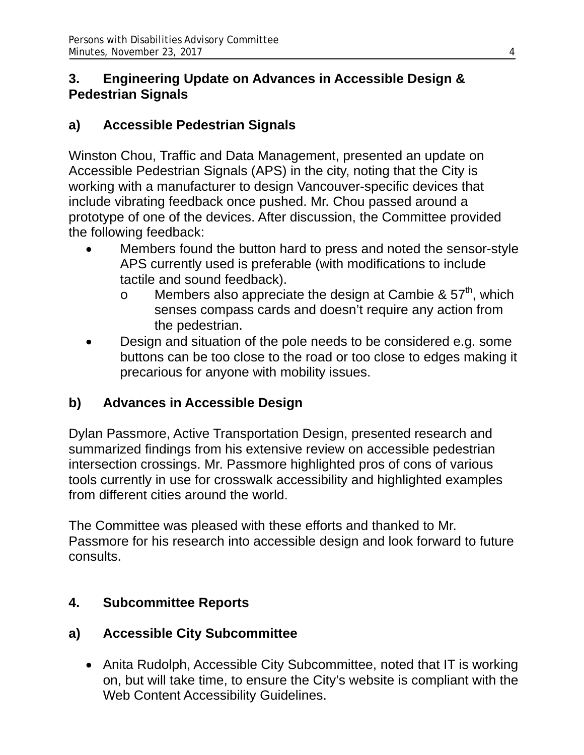### **3. Engineering Update on Advances in Accessible Design & Pedestrian Signals**

# **a) Accessible Pedestrian Signals**

Winston Chou, Traffic and Data Management, presented an update on Accessible Pedestrian Signals (APS) in the city, noting that the City is working with a manufacturer to design Vancouver-specific devices that include vibrating feedback once pushed. Mr. Chou passed around a prototype of one of the devices. After discussion, the Committee provided the following feedback:

- Members found the button hard to press and noted the sensor-style APS currently used is preferable (with modifications to include tactile and sound feedback).
	- o Members also appreciate the design at Cambie &  $57<sup>th</sup>$ , which senses compass cards and doesn't require any action from the pedestrian.
- Design and situation of the pole needs to be considered e.g. some buttons can be too close to the road or too close to edges making it precarious for anyone with mobility issues.

# **b) Advances in Accessible Design**

Dylan Passmore, Active Transportation Design, presented research and summarized findings from his extensive review on accessible pedestrian intersection crossings. Mr. Passmore highlighted pros of cons of various tools currently in use for crosswalk accessibility and highlighted examples from different cities around the world.

The Committee was pleased with these efforts and thanked to Mr. Passmore for his research into accessible design and look forward to future consults.

# **4. Subcommittee Reports**

### **a) Accessible City Subcommittee**

• Anita Rudolph, Accessible City Subcommittee, noted that IT is working on, but will take time, to ensure the City's website is compliant with the Web Content Accessibility Guidelines.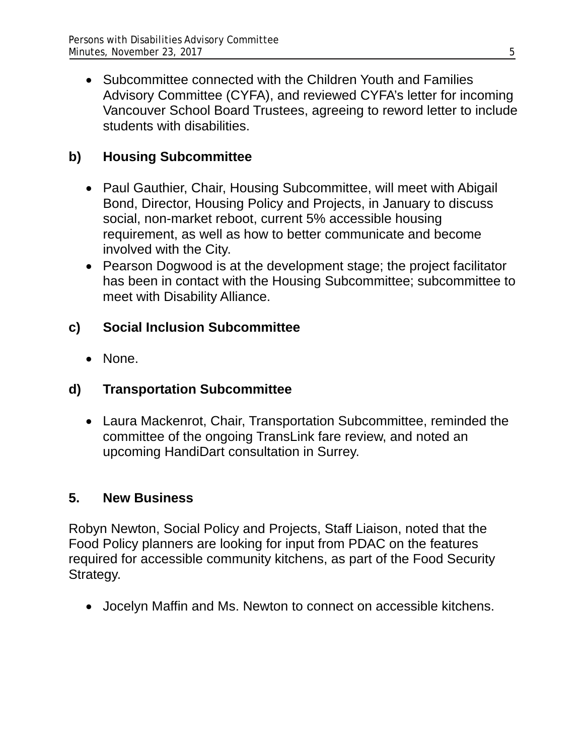• Subcommittee connected with the Children Youth and Families Advisory Committee (CYFA), and reviewed CYFA's letter for incoming Vancouver School Board Trustees, agreeing to reword letter to include students with disabilities.

# **b) Housing Subcommittee**

- Paul Gauthier, Chair, Housing Subcommittee, will meet with Abigail Bond, Director, Housing Policy and Projects, in January to discuss social, non-market reboot, current 5% accessible housing requirement, as well as how to better communicate and become involved with the City.
- Pearson Dogwood is at the development stage; the project facilitator has been in contact with the Housing Subcommittee; subcommittee to meet with Disability Alliance.

## **c) Social Inclusion Subcommittee**

• None.

# **d) Transportation Subcommittee**

 Laura Mackenrot, Chair, Transportation Subcommittee, reminded the committee of the ongoing TransLink fare review, and noted an upcoming HandiDart consultation in Surrey.

### **5. New Business**

Robyn Newton, Social Policy and Projects, Staff Liaison, noted that the Food Policy planners are looking for input from PDAC on the features required for accessible community kitchens, as part of the Food Security Strategy.

Jocelyn Maffin and Ms. Newton to connect on accessible kitchens.